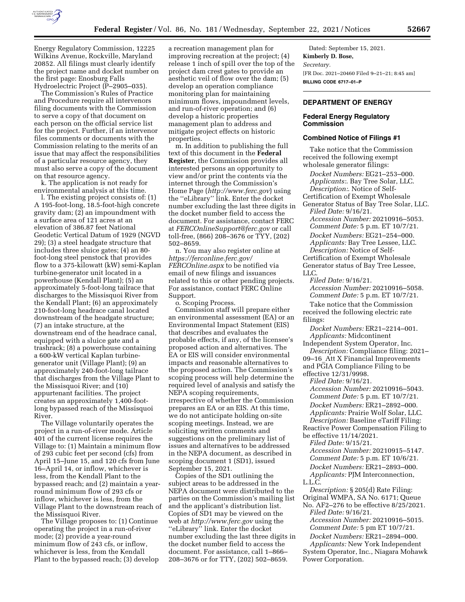

Energy Regulatory Commission, 12225 Wilkins Avenue, Rockville, Maryland 20852. All filings must clearly identify the project name and docket number on the first page: Enosburg Falls Hydroelectric Project (P–2905–035).

The Commission's Rules of Practice and Procedure require all intervenors filing documents with the Commission to serve a copy of that document on each person on the official service list for the project. Further, if an intervenor files comments or documents with the Commission relating to the merits of an issue that may affect the responsibilities of a particular resource agency, they must also serve a copy of the document on that resource agency.

k. The application is not ready for environmental analysis at this time.

l. The existing project consists of: (1) A 195-foot-long, 18.5-foot-high concrete gravity dam; (2) an impoundment with a surface area of 121 acres at an elevation of 386.87 feet National Geodetic Vertical Datum of 1929 (NGVD 29); (3) a steel headgate structure that includes three sluice gates; (4) an 80 foot-long steel penstock that provides flow to a 375-kilowatt (kW) semi-Kaplan turbine-generator unit located in a powerhouse (Kendall Plant); (5) an approximately 5-foot-long tailrace that discharges to the Missisquoi River from the Kendall Plant; (6) an approximately 210-foot-long headrace canal located downstream of the headgate structure; (7) an intake structure, at the downstream end of the headrace canal, equipped with a sluice gate and a trashrack; (8) a powerhouse containing a 600-kW vertical Kaplan turbinegenerator unit (Village Plant); (9) an approximately 240-foot-long tailrace that discharges from the Village Plant to the Missisquoi River; and (10) appurtenant facilities. The project creates an approximately 1,400-footlong bypassed reach of the Missisquoi River.

The Village voluntarily operates the project in a run-of-river mode. Article 401 of the current license requires the Village to: (1) Maintain a minimum flow of 293 cubic feet per second (cfs) from April 15–June 15, and 120 cfs from June 16–April 14, or inflow, whichever is less, from the Kendall Plant to the bypassed reach; and (2) maintain a yearround minimum flow of 293 cfs or inflow, whichever is less, from the Village Plant to the downstream reach of the Missisquoi River.

The Village proposes to: (1) Continue operating the project in a run-of-river mode; (2) provide a year-round minimum flow of 243 cfs, or inflow, whichever is less, from the Kendall Plant to the bypassed reach; (3) develop

a recreation management plan for improving recreation at the project; (4) release 1 inch of spill over the top of the project dam crest gates to provide an aesthetic veil of flow over the dam; (5) develop an operation compliance monitoring plan for maintaining minimum flows, impoundment levels, and run-of-river operation; and (6) develop a historic properties management plan to address and mitigate project effects on historic properties.

m. In addition to publishing the full text of this document in the **Federal Register**, the Commission provides all interested persons an opportunity to view and/or print the contents via the internet through the Commission's Home Page (*<http://www.ferc.gov>*) using the ''eLibrary'' link. Enter the docket number excluding the last three digits in the docket number field to access the document. For assistance, contact FERC at *[FERCOnlineSupport@ferc.gov](mailto:FERCOnlineSupport@ferc.gov)* or call toll-free, (866) 208–3676 or TYY, (202) 502–8659.

n. You may also register online at *[https://ferconline.ferc.gov/](https://ferconline.ferc.gov/FERCOnline.aspx) [FERCOnline.aspx](https://ferconline.ferc.gov/FERCOnline.aspx)* to be notified via email of new filings and issuances related to this or other pending projects. For assistance, contact FERC Online Support.

o. Scoping Process.

Commission staff will prepare either an environmental assessment (EA) or an Environmental Impact Statement (EIS) that describes and evaluates the probable effects, if any, of the licensee's proposed action and alternatives. The EA or EIS will consider environmental impacts and reasonable alternatives to the proposed action. The Commission's scoping process will help determine the required level of analysis and satisfy the NEPA scoping requirements, irrespective of whether the Commission prepares an EA or an EIS. At this time, we do not anticipate holding on-site scoping meetings. Instead, we are soliciting written comments and suggestions on the preliminary list of issues and alternatives to be addressed in the NEPA document, as described in scoping document 1 (SD1), issued September 15, 2021.

Copies of the SD1 outlining the subject areas to be addressed in the NEPA document were distributed to the parties on the Commission's mailing list and the applicant's distribution list. Copies of SD1 may be viewed on the web at *<http://www.ferc.gov>* using the ''eLibrary'' link. Enter the docket number excluding the last three digits in the docket number field to access the document. For assistance, call 1–866– 208–3676 or for TTY, (202) 502–8659.

Dated: September 15, 2021. **Kimberly D. Bose,**  *Secretary.*  [FR Doc. 2021–20460 Filed 9–21–21; 8:45 am] **BILLING CODE 6717–01–P** 

# **DEPARTMENT OF ENERGY**

# **Federal Energy Regulatory Commission**

#### **Combined Notice of Filings #1**

Take notice that the Commission received the following exempt wholesale generator filings:

*Docket Numbers:* EG21–253–000. *Applicants:*. Bay Tree Solar, LLC. *Description:*. Notice of Self-

Certification of Exempt Wholesale Generator Status of Bay Tree Solar, LLC. *Filed Date:* 9/16/21. *Accession Number:* 20210916–5053. *Comment Date:* 5 p.m. ET 10/7/21. *Docket Numbers:* EG21–254–000. *Applicants:* Bay Tree Lessee, LLC. *Description:* Notice of Self-Certification of Exempt Wholesale Generator status of Bay Tree Lessee, LLC. *Filed Date:* 9/16/21.

*Accession Number:* 20210916–5058. *Comment Date:* 5 p.m. ET 10/7/21.

Take notice that the Commission received the following electric rate filings:

*Docket Numbers:* ER21–2214–001. *Applicants:* Midcontinent

Independent System Operator, Inc. *Description:* Compliance filing: 2021–

09–16\_Att X Financial Improvements and PGIA Compliance Filing to be effective 12/31/9998.

*Filed Date:* 9/16/21.

*Accession Number:* 20210916–5043. *Comment Date:* 5 p.m. ET 10/7/21. *Docket Numbers:* ER21–2892–000. *Applicants:* Prairie Wolf Solar, LLC. *Description:* Baseline eTariff Filing: Reactive Power Compensation Filing to

be effective 11/14/2021. *Filed Date:* 9/15/21.

*Accession Number:* 20210915–5147. *Comment Date:* 5 p.m. ET 10/6/21. *Docket Numbers:* ER21–2893–000. *Applicants:* PJM Interconnection,

L.L.C.

*Description:* § 205(d) Rate Filing: Original WMPA, SA No. 6171; Queue

No. AF2–276 to be effective 8/25/2021. *Filed Date:* 9/16/21. *Accession Number:* 20210916–5015. *Comment Date:* 5 pm ET 10/7/21.

*Docket Numbers:* ER21–2894–000. *Applicants:* New York Independent System Operator, Inc., Niagara Mohawk Power Corporation.